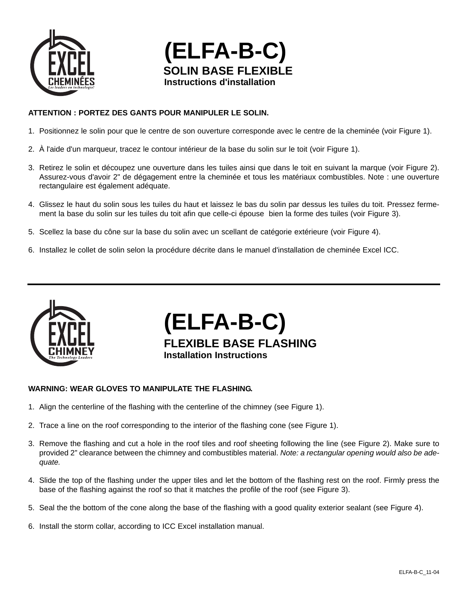



## **ATTENTION : PORTEZ DES GANTS POUR MANIPULER LE SOLIN.**

- 1. Positionnez le solin pour que le centre de son ouverture corresponde avec le centre de la cheminée (voir Figure 1).
- 2. À l'aide d'un marqueur, tracez le contour intérieur de la base du solin sur le toit (voir Figure 1).
- 3. Retirez le solin et découpez une ouverture dans les tuiles ainsi que dans le toit en suivant la marque (voir Figure 2). Assurez-vous d'avoir 2" de dégagement entre la cheminée et tous les matériaux combustibles. Note : une ouverture rectangulaire est également adéquate.
- 4. Glissez le haut du solin sous les tuiles du haut et laissez le bas du solin par dessus les tuiles du toit. Pressez fermement la base du solin sur les tuiles du toit afin que celle-ci épouse bien la forme des tuiles (voir Figure 3).
- 5. Scellez la base du cône sur la base du solin avec un scellant de catégorie extérieure (voir Figure 4).
- 6. Installez le collet de solin selon la procédure décrite dans le manuel d'installation de cheminée Excel ICC.



**(ELFA-B-C) FLEXIBLE BASE FLASHING Installation Instructions**

## **WARNING: WEAR GLOVES TO MANIPULATE THE FLASHING.**

- 1. Align the centerline of the flashing with the centerline of the chimney (see Figure 1).
- 2. Trace a line on the roof corresponding to the interior of the flashing cone (see Figure 1).
- 3. Remove the flashing and cut a hole in the roof tiles and roof sheeting following the line (see Figure 2). Make sure to provided 2" clearance between the chimney and combustibles material. *Note: a rectangular opening would also be adequate.*
- 4. Slide the top of the flashing under the upper tiles and let the bottom of the flashing rest on the roof. Firmly press the base of the flashing against the roof so that it matches the profile of the roof (see Figure 3).
- 5. Seal the the bottom of the cone along the base of the flashing with a good quality exterior sealant (see Figure 4).
- 6. Install the storm collar, according to ICC Excel installation manual.